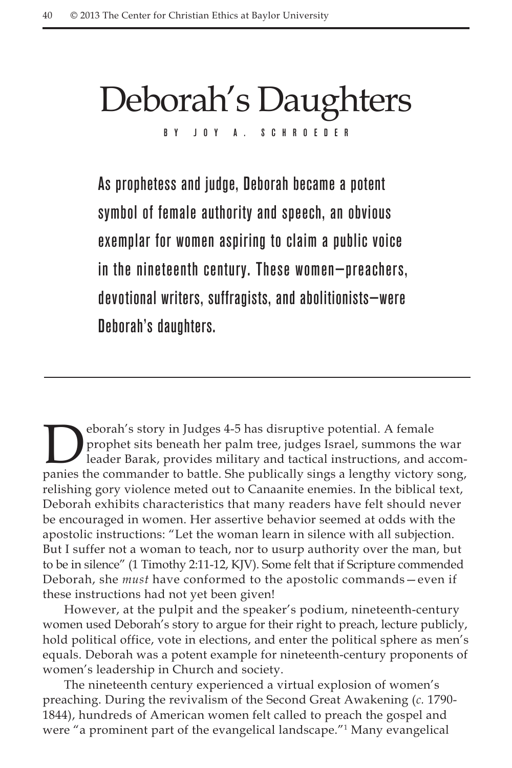# Deborah's Daughters By Joy A. Schroeder

As prophetess and judge, Deborah became a potent symbol of female authority and speech, an obvious exemplar for women aspiring to claim a public voice in the nineteenth century. These women—preachers, devotional writers, suffragists, and abolitionists—were Deborah's daughters.

**Deborah's story in Judges 4-5 has disruptive potential.** A female prophet sits beneath her palm tree, judges Israel, summons the leader Barak, provides military and tactical instructions, and as prophet sits beneath her palm tree, judges Israel, summons the war leader Barak, provides military and tactical instructions, and accompanies the commander to battle. She publically sings a lengthy victory song, relishing gory violence meted out to Canaanite enemies. In the biblical text, Deborah exhibits characteristics that many readers have felt should never be encouraged in women. Her assertive behavior seemed at odds with the apostolic instructions: "Let the woman learn in silence with all subjection. But I suffer not a woman to teach, nor to usurp authority over the man, but to be in silence" (1 Timothy 2:11-12, KJV). Some felt that if Scripture commended Deborah, she *must* have conformed to the apostolic commands—even if these instructions had not yet been given!

However, at the pulpit and the speaker's podium, nineteenth-century women used Deborah's story to argue for their right to preach, lecture publicly, hold political office, vote in elections, and enter the political sphere as men's equals. Deborah was a potent example for nineteenth-century proponents of women's leadership in Church and society.

The nineteenth century experienced a virtual explosion of women's preaching. During the revivalism of the Second Great Awakening (*c.* 1790- 1844), hundreds of American women felt called to preach the gospel and were "a prominent part of the evangelical landscape."1 Many evangelical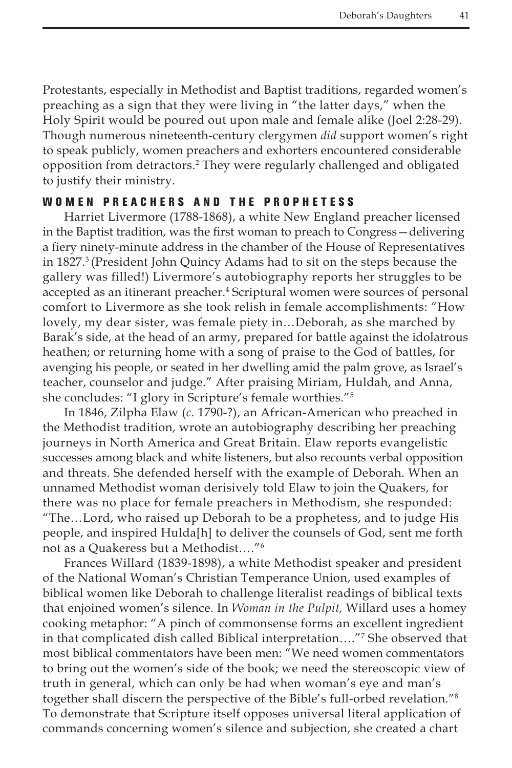Protestants, especially in Methodist and Baptist traditions, regarded women's preaching as a sign that they were living in "the latter days," when the Holy Spirit would be poured out upon male and female alike (Joel 2:28-29). Though numerous nineteenth-century clergymen *did* support women's right to speak publicly, women preachers and exhorters encountered considerable opposition from detractors.2 They were regularly challenged and obligated to justify their ministry.

# WOMEN PREACHERS AND THE PROPHETESS

Harriet Livermore (1788-1868), a white New England preacher licensed in the Baptist tradition, was the first woman to preach to Congress—delivering a fiery ninety-minute address in the chamber of the House of Representatives in 1827.3 (President John Quincy Adams had to sit on the steps because the gallery was filled!) Livermore's autobiography reports her struggles to be accepted as an itinerant preacher.<sup>4</sup> Scriptural women were sources of personal comfort to Livermore as she took relish in female accomplishments: "How lovely, my dear sister, was female piety in…Deborah, as she marched by Barak's side, at the head of an army, prepared for battle against the idolatrous heathen; or returning home with a song of praise to the God of battles, for avenging his people, or seated in her dwelling amid the palm grove, as Israel's teacher, counselor and judge." After praising Miriam, Huldah, and Anna, she concludes: "I glory in Scripture's female worthies."5

In 1846, Zilpha Elaw (*c.* 1790-?), an African-American who preached in the Methodist tradition, wrote an autobiography describing her preaching journeys in North America and Great Britain. Elaw reports evangelistic successes among black and white listeners, but also recounts verbal opposition and threats. She defended herself with the example of Deborah. When an unnamed Methodist woman derisively told Elaw to join the Quakers, for there was no place for female preachers in Methodism, she responded: "The…Lord, who raised up Deborah to be a prophetess, and to judge His people, and inspired Hulda[h] to deliver the counsels of God, sent me forth not as a Quakeress but a Methodist…."6

Frances Willard (1839-1898), a white Methodist speaker and president of the National Woman's Christian Temperance Union, used examples of biblical women like Deborah to challenge literalist readings of biblical texts that enjoined women's silence. In *Woman in the Pulpit,* Willard uses a homey cooking metaphor: "A pinch of commonsense forms an excellent ingredient in that complicated dish called Biblical interpretation…."7 She observed that most biblical commentators have been men: "We need women commentators to bring out the women's side of the book; we need the stereoscopic view of truth in general, which can only be had when woman's eye and man's together shall discern the perspective of the Bible's full-orbed revelation."8 To demonstrate that Scripture itself opposes universal literal application of commands concerning women's silence and subjection, she created a chart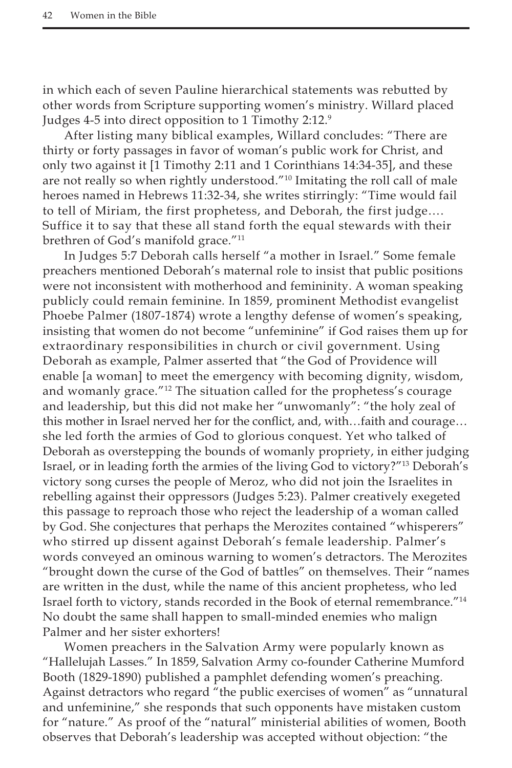in which each of seven Pauline hierarchical statements was rebutted by other words from Scripture supporting women's ministry. Willard placed Judges 4-5 into direct opposition to 1 Timothy 2:12.9

After listing many biblical examples, Willard concludes: "There are thirty or forty passages in favor of woman's public work for Christ, and only two against it [1 Timothy 2:11 and 1 Corinthians 14:34-35], and these are not really so when rightly understood."10 Imitating the roll call of male heroes named in Hebrews 11:32-34, she writes stirringly: "Time would fail to tell of Miriam, the first prophetess, and Deborah, the first judge…. Suffice it to say that these all stand forth the equal stewards with their brethren of God's manifold grace."<sup>11</sup>

In Judges 5:7 Deborah calls herself "a mother in Israel." Some female preachers mentioned Deborah's maternal role to insist that public positions were not inconsistent with motherhood and femininity. A woman speaking publicly could remain feminine*.* In 1859, prominent Methodist evangelist Phoebe Palmer (1807-1874) wrote a lengthy defense of women's speaking, insisting that women do not become "unfeminine" if God raises them up for extraordinary responsibilities in church or civil government. Using Deborah as example, Palmer asserted that "the God of Providence will enable [a woman] to meet the emergency with becoming dignity, wisdom, and womanly grace."<sup>12</sup> The situation called for the prophetess's courage and leadership, but this did not make her "unwomanly": "the holy zeal of this mother in Israel nerved her for the conflict, and, with…faith and courage… she led forth the armies of God to glorious conquest. Yet who talked of Deborah as overstepping the bounds of womanly propriety, in either judging Israel, or in leading forth the armies of the living God to victory?"13 Deborah's victory song curses the people of Meroz, who did not join the Israelites in rebelling against their oppressors (Judges 5:23). Palmer creatively exegeted this passage to reproach those who reject the leadership of a woman called by God. She conjectures that perhaps the Merozites contained "whisperers" who stirred up dissent against Deborah's female leadership. Palmer's words conveyed an ominous warning to women's detractors. The Merozites "brought down the curse of the God of battles" on themselves. Their "names are written in the dust, while the name of this ancient prophetess, who led Israel forth to victory, stands recorded in the Book of eternal remembrance."14 No doubt the same shall happen to small-minded enemies who malign Palmer and her sister exhorters!

Women preachers in the Salvation Army were popularly known as "Hallelujah Lasses." In 1859, Salvation Army co-founder Catherine Mumford Booth (1829-1890) published a pamphlet defending women's preaching. Against detractors who regard "the public exercises of women" as "unnatural and unfeminine," she responds that such opponents have mistaken custom for "nature." As proof of the "natural" ministerial abilities of women, Booth observes that Deborah's leadership was accepted without objection: "the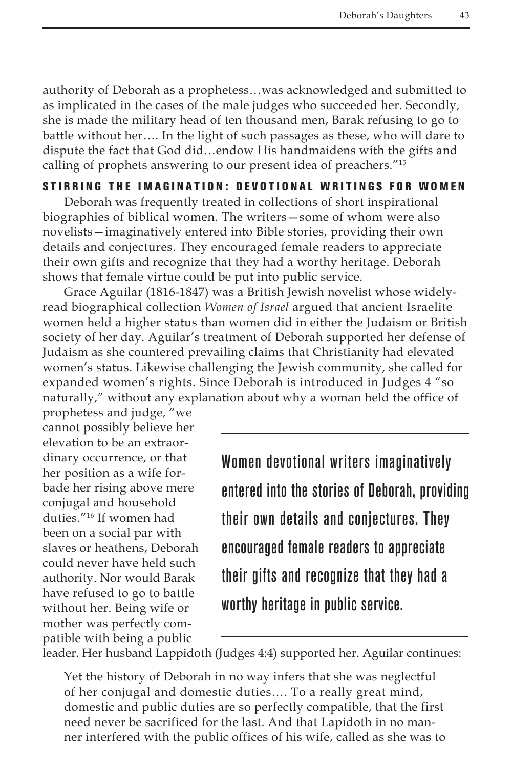authority of Deborah as a prophetess…was acknowledged and submitted to as implicated in the cases of the male judges who succeeded her. Secondly, she is made the military head of ten thousand men, Barak refusing to go to battle without her…. In the light of such passages as these, who will dare to dispute the fact that God did…endow His handmaidens with the gifts and calling of prophets answering to our present idea of preachers."15

## STIRRING THE IMAGINATION: DEVOTIONAL WRITINGS FOR WOMEN

Deborah was frequently treated in collections of short inspirational biographies of biblical women. The writers—some of whom were also novelists—imaginatively entered into Bible stories, providing their own details and conjectures. They encouraged female readers to appreciate their own gifts and recognize that they had a worthy heritage. Deborah shows that female virtue could be put into public service.

Grace Aguilar (1816-1847) was a British Jewish novelist whose widelyread biographical collection *Women of Israel* argued that ancient Israelite women held a higher status than women did in either the Judaism or British society of her day. Aguilar's treatment of Deborah supported her defense of Judaism as she countered prevailing claims that Christianity had elevated women's status. Likewise challenging the Jewish community, she called for expanded women's rights. Since Deborah is introduced in Judges 4 "so naturally," without any explanation about why a woman held the office of

prophetess and judge, "we cannot possibly believe her elevation to be an extraordinary occurrence, or that her position as a wife forbade her rising above mere conjugal and household duties."16 If women had been on a social par with slaves or heathens, Deborah could never have held such authority. Nor would Barak have refused to go to battle without her. Being wife or mother was perfectly compatible with being a public

Women devotional writers imaginatively entered into the stories of Deborah, providing their own details and conjectures. They encouraged female readers to appreciate their gifts and recognize that they had a worthy heritage in public service.

leader. Her husband Lappidoth (Judges 4:4) supported her. Aguilar continues:

Yet the history of Deborah in no way infers that she was neglectful of her conjugal and domestic duties…. To a really great mind, domestic and public duties are so perfectly compatible, that the first need never be sacrificed for the last. And that Lapidoth in no manner interfered with the public offices of his wife, called as she was to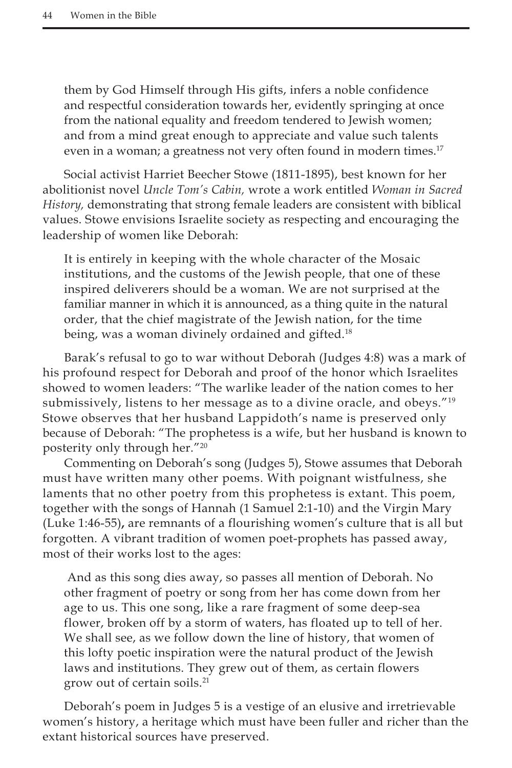them by God Himself through His gifts, infers a noble confidence and respectful consideration towards her, evidently springing at once from the national equality and freedom tendered to Jewish women; and from a mind great enough to appreciate and value such talents even in a woman; a greatness not very often found in modern times.<sup>17</sup>

Social activist Harriet Beecher Stowe (1811-1895), best known for her abolitionist novel *Uncle Tom's Cabin,* wrote a work entitled *Woman in Sacred History,* demonstrating that strong female leaders are consistent with biblical values. Stowe envisions Israelite society as respecting and encouraging the leadership of women like Deborah:

It is entirely in keeping with the whole character of the Mosaic institutions, and the customs of the Jewish people, that one of these inspired deliverers should be a woman. We are not surprised at the familiar manner in which it is announced, as a thing quite in the natural order, that the chief magistrate of the Jewish nation, for the time being, was a woman divinely ordained and gifted.<sup>18</sup>

Barak's refusal to go to war without Deborah (Judges 4:8) was a mark of his profound respect for Deborah and proof of the honor which Israelites showed to women leaders: "The warlike leader of the nation comes to her submissively, listens to her message as to a divine oracle, and obeys."<sup>19</sup> Stowe observes that her husband Lappidoth's name is preserved only because of Deborah: "The prophetess is a wife, but her husband is known to posterity only through her."20

Commenting on Deborah's song (Judges 5), Stowe assumes that Deborah must have written many other poems. With poignant wistfulness, she laments that no other poetry from this prophetess is extant. This poem, together with the songs of Hannah (1 Samuel 2:1-10) and the Virgin Mary (Luke 1:46-55)**,** are remnants of a flourishing women's culture that is all but forgotten. A vibrant tradition of women poet-prophets has passed away, most of their works lost to the ages:

 And as this song dies away, so passes all mention of Deborah. No other fragment of poetry or song from her has come down from her age to us. This one song, like a rare fragment of some deep-sea flower, broken off by a storm of waters, has floated up to tell of her. We shall see, as we follow down the line of history, that women of this lofty poetic inspiration were the natural product of the Jewish laws and institutions. They grew out of them, as certain flowers grow out of certain soils.21

Deborah's poem in Judges 5 is a vestige of an elusive and irretrievable women's history, a heritage which must have been fuller and richer than the extant historical sources have preserved.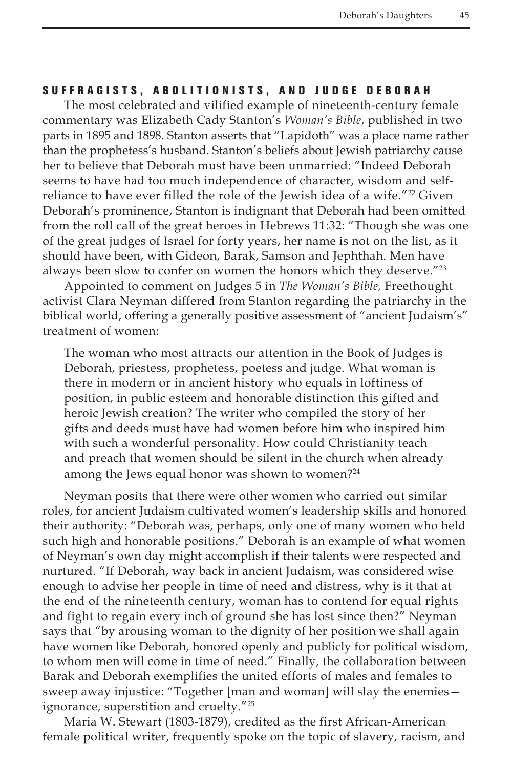### S U F F R A G I S T S , A B O L I T I O N I S T S , A N D J U D G E D E B O R A H

The most celebrated and vilified example of nineteenth-century female commentary was Elizabeth Cady Stanton's *Woman's Bible*, published in two parts in 1895 and 1898*.* Stanton asserts that "Lapidoth" was a place name rather than the prophetess's husband. Stanton's beliefs about Jewish patriarchy cause her to believe that Deborah must have been unmarried: "Indeed Deborah seems to have had too much independence of character, wisdom and selfreliance to have ever filled the role of the Jewish idea of a wife.<sup>"22</sup> Given Deborah's prominence, Stanton is indignant that Deborah had been omitted from the roll call of the great heroes in Hebrews 11:32: "Though she was one of the great judges of Israel for forty years, her name is not on the list, as it should have been, with Gideon, Barak, Samson and Jephthah. Men have always been slow to confer on women the honors which they deserve."<sup>23</sup>

Appointed to comment on Judges 5 in *The Woman's Bible,* Freethought activist Clara Neyman differed from Stanton regarding the patriarchy in the biblical world, offering a generally positive assessment of "ancient Judaism's" treatment of women:

The woman who most attracts our attention in the Book of Judges is Deborah, priestess, prophetess, poetess and judge. What woman is there in modern or in ancient history who equals in loftiness of position, in public esteem and honorable distinction this gifted and heroic Jewish creation? The writer who compiled the story of her gifts and deeds must have had women before him who inspired him with such a wonderful personality. How could Christianity teach and preach that women should be silent in the church when already among the Jews equal honor was shown to women?<sup>24</sup>

Neyman posits that there were other women who carried out similar roles, for ancient Judaism cultivated women's leadership skills and honored their authority: "Deborah was, perhaps, only one of many women who held such high and honorable positions." Deborah is an example of what women of Neyman's own day might accomplish if their talents were respected and nurtured. "If Deborah, way back in ancient Judaism, was considered wise enough to advise her people in time of need and distress, why is it that at the end of the nineteenth century, woman has to contend for equal rights and fight to regain every inch of ground she has lost since then?" Neyman says that "by arousing woman to the dignity of her position we shall again have women like Deborah, honored openly and publicly for political wisdom, to whom men will come in time of need." Finally, the collaboration between Barak and Deborah exemplifies the united efforts of males and females to sweep away injustice: "Together [man and woman] will slay the enemies ignorance, superstition and cruelty."25

Maria W. Stewart (1803-1879), credited as the first African-American female political writer, frequently spoke on the topic of slavery, racism, and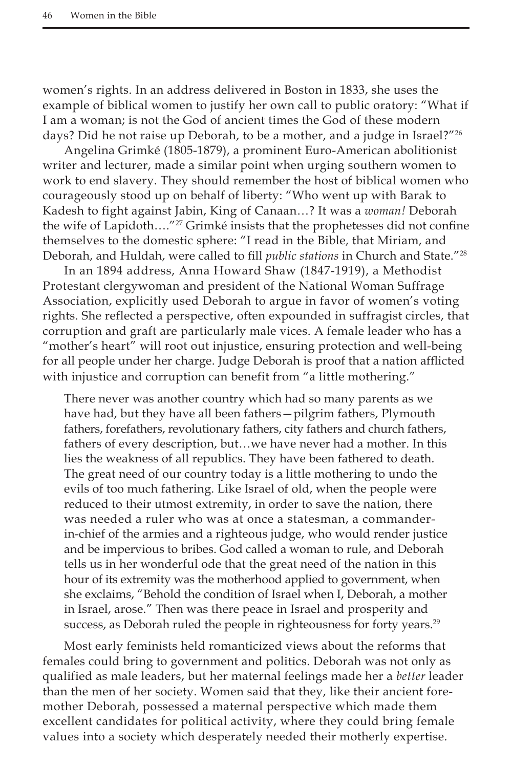women's rights. In an address delivered in Boston in 1833, she uses the example of biblical women to justify her own call to public oratory: "What if I am a woman; is not the God of ancient times the God of these modern days? Did he not raise up Deborah, to be a mother, and a judge in Israel?"<sup>26</sup>

Angelina Grimké (1805-1879), a prominent Euro-American abolitionist writer and lecturer, made a similar point when urging southern women to work to end slavery. They should remember the host of biblical women who courageously stood up on behalf of liberty: "Who went up with Barak to Kadesh to fight against Jabin, King of Canaan…? It was a *woman!* Deborah the wife of Lapidoth...."<sup>27</sup> Grimké insists that the prophetesses did not confine themselves to the domestic sphere: "I read in the Bible, that Miriam, and Deborah, and Huldah, were called to fill *public stations* in Church and State."28

In an 1894 address, Anna Howard Shaw (1847-1919), a Methodist Protestant clergywoman and president of the National Woman Suffrage Association, explicitly used Deborah to argue in favor of women's voting rights. She reflected a perspective, often expounded in suffragist circles, that corruption and graft are particularly male vices. A female leader who has a "mother's heart" will root out injustice, ensuring protection and well-being for all people under her charge. Judge Deborah is proof that a nation afflicted with injustice and corruption can benefit from "a little mothering."

There never was another country which had so many parents as we have had, but they have all been fathers—pilgrim fathers, Plymouth fathers, forefathers, revolutionary fathers, city fathers and church fathers, fathers of every description, but…we have never had a mother. In this lies the weakness of all republics. They have been fathered to death. The great need of our country today is a little mothering to undo the evils of too much fathering. Like Israel of old, when the people were reduced to their utmost extremity, in order to save the nation, there was needed a ruler who was at once a statesman, a commanderin-chief of the armies and a righteous judge, who would render justice and be impervious to bribes. God called a woman to rule, and Deborah tells us in her wonderful ode that the great need of the nation in this hour of its extremity was the motherhood applied to government, when she exclaims, "Behold the condition of Israel when I, Deborah, a mother in Israel, arose." Then was there peace in Israel and prosperity and success, as Deborah ruled the people in righteousness for forty years.<sup>29</sup>

Most early feminists held romanticized views about the reforms that females could bring to government and politics. Deborah was not only as qualified as male leaders, but her maternal feelings made her a *better* leader than the men of her society. Women said that they, like their ancient foremother Deborah, possessed a maternal perspective which made them excellent candidates for political activity, where they could bring female values into a society which desperately needed their motherly expertise.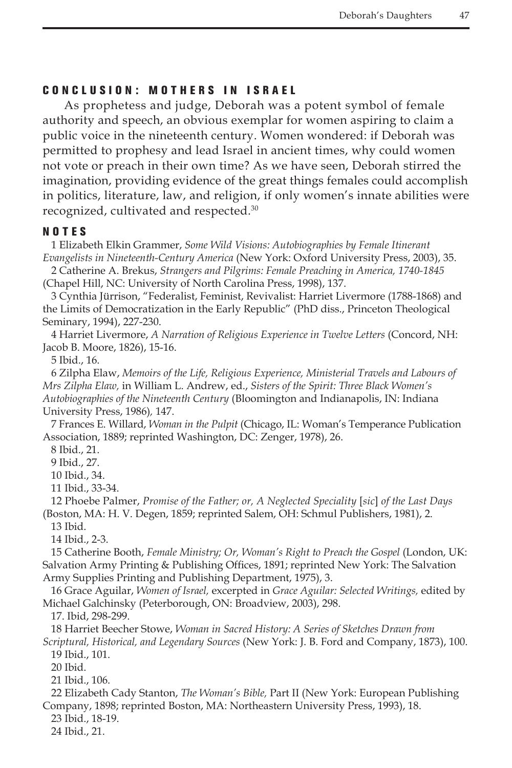#### C onclusion: M others in I srael

As prophetess and judge, Deborah was a potent symbol of female authority and speech, an obvious exemplar for women aspiring to claim a public voice in the nineteenth century. Women wondered: if Deborah was permitted to prophesy and lead Israel in ancient times, why could women not vote or preach in their own time? As we have seen, Deborah stirred the imagination, providing evidence of the great things females could accomplish in politics, literature, law, and religion, if only women's innate abilities were recognized, cultivated and respected.30

#### NOTES

1 Elizabeth Elkin Grammer, *Some Wild Visions: Autobiographies by Female Itinerant Evangelists in Nineteenth-Century America* (New York: Oxford University Press, 2003), 35.

2 Catherine A. Brekus, *Strangers and Pilgrims: Female Preaching in America, 1740-1845*  (Chapel Hill, NC: University of North Carolina Press, 1998), 137.

3 Cynthia Jürrison, "Federalist, Feminist, Revivalist: Harriet Livermore (1788-1868) and the Limits of Democratization in the Early Republic" (PhD diss., Princeton Theological Seminary, 1994), 227-230.

4 Harriet Livermore, *A Narration of Religious Experience in Twelve Letters* (Concord, NH: Jacob B. Moore, 1826), 15-16.

5 Ibid., 16.

6 Zilpha Elaw, *Memoirs of the Life, Religious Experience, Ministerial Travels and Labours of Mrs Zilpha Elaw,* in William L. Andrew, ed., *Sisters of the Spirit: Three Black Women's Autobiographies of the Nineteenth Century* (Bloomington and Indianapolis, IN: Indiana University Press, 1986)*,* 147.

7 Frances E. Willard, *Woman in the Pulpit* (Chicago, IL: Woman's Temperance Publication Association, 1889; reprinted Washington, DC: Zenger, 1978), 26.

8 Ibid., 21.

9 Ibid., 27.

10 Ibid., 34.

11 Ibid., 33-34.

12 Phoebe Palmer, *Promise of the Father; or, A Neglected Speciality* [*sic*] *of the Last Days* (Boston, MA: H. V. Degen, 1859; reprinted Salem, OH: Schmul Publishers, 1981), 2.

13 Ibid.

14 Ibid., 2-3.

15 Catherine Booth, *Female Ministry; Or, Woman's Right to Preach the Gospel* (London, UK: Salvation Army Printing & Publishing Offices, 1891; reprinted New York: The Salvation Army Supplies Printing and Publishing Department, 1975), 3.

16 Grace Aguilar, *Women of Israel,* excerpted in *Grace Aguilar: Selected Writings,* edited by Michael Galchinsky (Peterborough, ON: Broadview, 2003), 298.

17. Ibid, 298-299.

18 Harriet Beecher Stowe, *Woman in Sacred History: A Series of Sketches Drawn from Scriptural, Historical, and Legendary Sources* (New York: J. B. Ford and Company, 1873), 100.

19 Ibid., 101.

20 Ibid.

21 Ibid., 106.

22 Elizabeth Cady Stanton, *The Woman's Bible,* Part II (New York: European Publishing Company, 1898; reprinted Boston, MA: Northeastern University Press, 1993), 18.

23 Ibid., 18-19.

24 Ibid., 21.